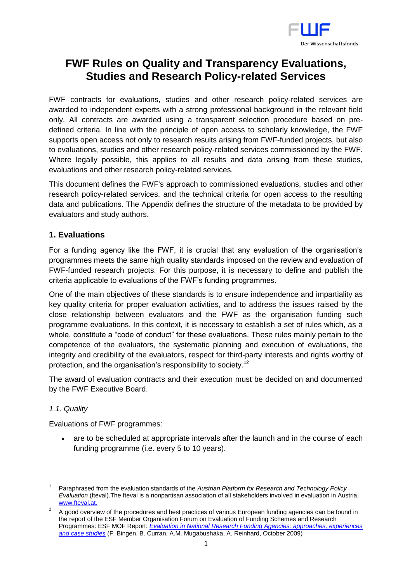

# **FWF Rules on Quality and Transparency Evaluations, Studies and Research Policy-related Services**

FWF contracts for evaluations, studies and other research policy-related services are awarded to independent experts with a strong professional background in the relevant field only. All contracts are awarded using a transparent selection procedure based on predefined criteria. In line with the principle of open access to scholarly knowledge, the FWF supports open access not only to research results arising from FWF-funded projects, but also to evaluations, studies and other research policy-related services commissioned by the FWF. Where legally possible, this applies to all results and data arising from these studies, evaluations and other research policy-related services.

This document defines the FWF's approach to commissioned evaluations, studies and other research policy-related services, and the technical criteria for open access to the resulting data and publications. The Appendix defines the structure of the metadata to be provided by evaluators and study authors.

### **1. Evaluations**

For a funding agency like the FWF, it is crucial that any evaluation of the organisation's programmes meets the same high quality standards imposed on the review and evaluation of FWF-funded research projects. For this purpose, it is necessary to define and publish the criteria applicable to evaluations of the FWF's funding programmes.

One of the main objectives of these standards is to ensure independence and impartiality as key quality criteria for proper evaluation activities, and to address the issues raised by the close relationship between evaluators and the FWF as the organisation funding such programme evaluations. In this context, it is necessary to establish a set of rules which, as a whole, constitute a "code of conduct" for these evaluations. These rules mainly pertain to the competence of the evaluators, the systematic planning and execution of evaluations, the integrity and credibility of the evaluators, respect for third-party interests and rights worthy of protection, and the organisation's responsibility to society.<sup>12</sup>

The award of evaluation contracts and their execution must be decided on and documented by the FWF Executive Board.

#### *1.1. Quality*

Evaluations of FWF programmes:

• are to be scheduled at appropriate intervals after the launch and in the course of each funding programme (i.e. every 5 to 10 years).

**<sup>.</sup>** 1 Paraphrased from the evaluation standards of the *Austrian Platform for Research and Technology Policy Evaluation* (fteval).The fteval is a nonpartisan association of all stakeholders involved in evaluation in Austria, [www.fteval.at.](http://www.fteval.at/)

 $2^2$  A good overview of the procedures and best practices of various European funding agencies can be found in the report of the ESF Member Organisation Forum on Evaluation of Funding Schemes and Research Programmes: ESF MOF Report: *Evaluation in National [Research Funding Agencies: approaches, experiences](http://www.esf.org/fileadmin/Public_documents/Publications/mof_evaluation.pdf)  [and case studies](http://www.esf.org/fileadmin/Public_documents/Publications/mof_evaluation.pdf)* (F. Bingen, B. Curran, A.M. Mugabushaka, A. Reinhard, October 2009)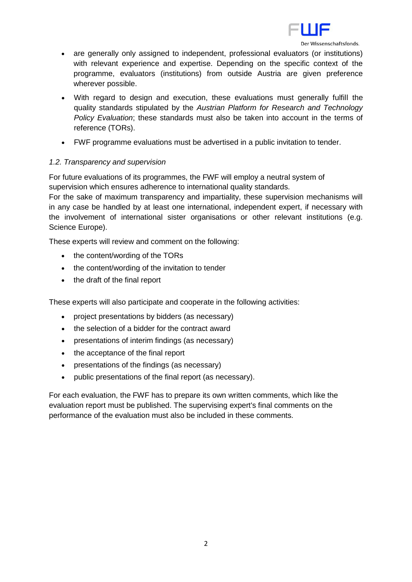

- are generally only assigned to independent, professional evaluators (or institutions) with relevant experience and expertise. Depending on the specific context of the programme, evaluators (institutions) from outside Austria are given preference wherever possible.
- With regard to design and execution, these evaluations must generally fulfill the quality standards stipulated by the *Austrian Platform for Research and Technology Policy Evaluation*; these standards must also be taken into account in the terms of reference (TORs).
- FWF programme evaluations must be advertised in a public invitation to tender.

### *1.2. Transparency and supervision*

For future evaluations of its programmes, the FWF will employ a neutral system of supervision which ensures adherence to international quality standards.

For the sake of maximum transparency and impartiality, these supervision mechanisms will in any case be handled by at least one international, independent expert, if necessary with the involvement of international sister organisations or other relevant institutions (e.g. Science Europe).

These experts will review and comment on the following:

- the content/wording of the TORs
- the content/wording of the invitation to tender
- the draft of the final report

These experts will also participate and cooperate in the following activities:

- project presentations by bidders (as necessary)
- the selection of a bidder for the contract award
- presentations of interim findings (as necessary)
- the acceptance of the final report
- presentations of the findings (as necessary)
- public presentations of the final report (as necessary).

For each evaluation, the FWF has to prepare its own written comments, which like the evaluation report must be published. The supervising expert's final comments on the performance of the evaluation must also be included in these comments.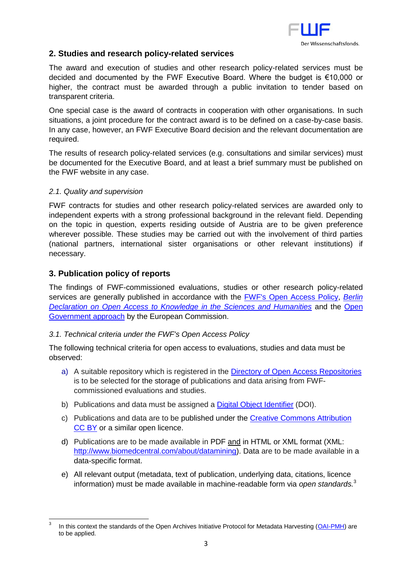

## **2. Studies and research policy-related services**

The award and execution of studies and other research policy-related services must be decided and documented by the FWF Executive Board. Where the budget is €10,000 or higher, the contract must be awarded through a public invitation to tender based on transparent criteria.

One special case is the award of contracts in cooperation with other organisations. In such situations, a joint procedure for the contract award is to be defined on a case-by-case basis. In any case, however, an FWF Executive Board decision and the relevant documentation are required.

The results of research policy-related services (e.g. consultations and similar services) must be documented for the Executive Board, and at least a brief summary must be published on the FWF website in any case.

#### *2.1. Quality and supervision*

FWF contracts for studies and other research policy-related services are awarded only to independent experts with a strong professional background in the relevant field. Depending on the topic in question, experts residing outside of Austria are to be given preference wherever possible. These studies may be carried out with the involvement of third parties (national partners, international sister organisations or other relevant institutions) if necessary.

## **3. Publication policy of reports**

The findings of FWF-commissioned evaluations, studies or other research policy-related services are generally published in accordance with the [FWF's Open Access Policy,](https://www.fwf.ac.at/en/research-funding/open-access-policy/) *[Berlin](http://openaccess.mpg.de/286432/Berlin-Declaration)  Declaration on [Open Access to Knowledge in the Sciences and Humanities](http://openaccess.mpg.de/286432/Berlin-Declaration)* and the [Open](http://ec.europa.eu/digital-agenda/en/open-government)  [Government approach](http://ec.europa.eu/digital-agenda/en/open-government) by the European Commission.

### *3.1. Technical criteria under the FWF's Open Access Policy*

The following technical criteria for open access to evaluations, studies and data must be observed:

- a) A suitable repository which is registered in the [Directory of Open Access Repositories](http://www.opendoar.org/) is to be selected for the storage of publications and data arising from FWFcommissioned evaluations and studies.
- b) Publications and data must be assigned a [Digital Object Identifier](http://www.doi.org/) (DOI).
- c) Publications and data are to be published under the [Creative Commons](https://creativecommons.org/licenses/by/4.0/) [Attribution](https://creativecommons.org/licenses/by/4.0/) [CC BY](https://creativecommons.org/licenses/by/4.0/) or a similar open licence.
- d) Publications are to be made available in PDF and in HTML or XML format (XML: [http://www.biomedcentral.com/about/datamining\)](http://www.biomedcentral.com/about/datamining). Data are to be made available in a data-specific format.
- e) All relevant output (metadata, text of publication, underlying data, citations, licence information) must be made available in machine-readable form via *open standards.*<sup>3</sup>

 $\overline{a}$ 3 In this context the standards of the Open Archives Initiative Protocol for Metadata Harvesting [\(OAI-PMH\)](http://doaj.org/features) are to be applied.